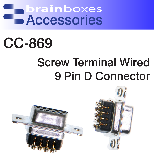brainboxes Accessories

## CC-869

### Screw Terminal Wired 9 Pin D Connector

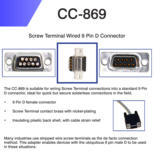# CC-869

#### Screw Terminal Wired 9 Pin D Connector







The CC-869 is suitable for wiring Screw Terminal connections into a standard 9 Pin D connector, ideal for quick but secure solderless connections in the field.

- 9 Pin D female connector
- Screw Terminal contact brass with nickel-plating
- Insulating plastic back shell, with cable strain relief



Many industries use stripped wire screw terminals as the de facto connection method. This adapter enables devices with the ubiquitous 9 pin male D to be used in these situations.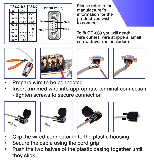

Please refer to the manufacturer's information for the product you wish to connect.

To fit CC-869 you will need: wire cutters, wire strippers, small screw driver (not included).









- Prepare wire to be connected
- Insert trimmed wire into appropriate terminal connection
	- tighten screws to secure connection









- Clip the wired connector in to the plastic housing
- Secure the cable using the cord grip
- Push the two halves of the plastic casing together until they click.